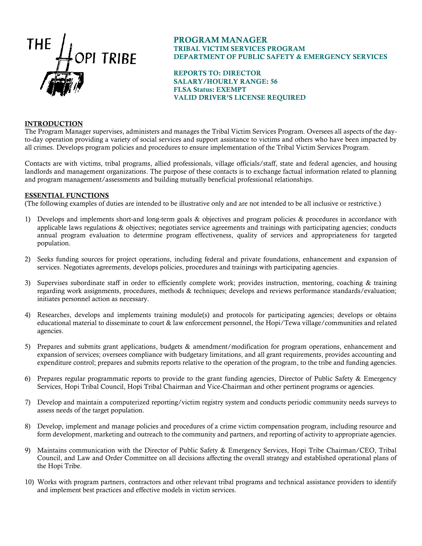

# PROGRAM MANAGER TRIBAL VICTIM SERVICES PROGRAM DEPARTMENT OF PUBLIC SAFETY & EMERGENCY SERVICES

REPORTS TO: DIRECTOR SALARY/HOURLY RANGE: 56 FLSA Status: EXEMPT VALID DRIVER'S LICENSE REQUIRED

### INTRODUCTION

The Program Manager supervises, administers and manages the Tribal Victim Services Program. Oversees all aspects of the dayto-day operation providing a variety of social services and support assistance to victims and others who have been impacted by all crimes. Develops program policies and procedures to ensure implementation of the Tribal Victim Services Program.

Contacts are with victims, tribal programs, allied professionals, village officials/staff, state and federal agencies, and housing landlords and management organizations. The purpose of these contacts is to exchange factual information related to planning and program management/assessments and building mutually beneficial professional relationships.

#### ESSENTIAL FUNCTIONS

(The following examples of duties are intended to be illustrative only and are not intended to be all inclusive or restrictive.)

- 1) Develops and implements short-and long-term goals & objectives and program policies & procedures in accordance with applicable laws regulations & objectives; negotiates service agreements and trainings with participating agencies; conducts annual program evaluation to determine program effectiveness, quality of services and appropriateness for targeted population.
- 2) Seeks funding sources for project operations, including federal and private foundations, enhancement and expansion of services. Negotiates agreements, develops policies, procedures and trainings with participating agencies.
- 3) Supervises subordinate staff in order to efficiently complete work; provides instruction, mentoring, coaching & training regarding work assignments, procedures, methods & techniques; develops and reviews performance standards/evaluation; initiates personnel action as necessary.
- 4) Researches, develops and implements training module(s) and protocols for participating agencies; develops or obtains educational material to disseminate to court & law enforcement personnel, the Hopi/Tewa village/communities and related agencies.
- 5) Prepares and submits grant applications, budgets & amendment/modification for program operations, enhancement and expansion of services; oversees compliance with budgetary limitations, and all grant requirements, provides accounting and expenditure control; prepares and submits reports relative to the operation of the program, to the tribe and funding agencies.
- 6) Prepares regular programmatic reports to provide to the grant funding agencies, Director of Public Safety & Emergency Services, Hopi Tribal Council, Hopi Tribal Chairman and Vice-Chairman and other pertinent programs or agencies.
- 7) Develop and maintain a computerized reporting/victim registry system and conducts periodic community needs surveys to assess needs of the target population.
- 8) Develop, implement and manage policies and procedures of a crime victim compensation program, including resource and form development, marketing and outreach to the community and partners, and reporting of activity to appropriate agencies.
- 9) Maintains communication with the Director of Public Safety & Emergency Services, Hopi Tribe Chairman/CEO, Tribal Council, and Law and Order Committee on all decisions affecting the overall strategy and established operational plans of the Hopi Tribe.
- 10) Works with program partners, contractors and other relevant tribal programs and technical assistance providers to identify and implement best practices and effective models in victim services.